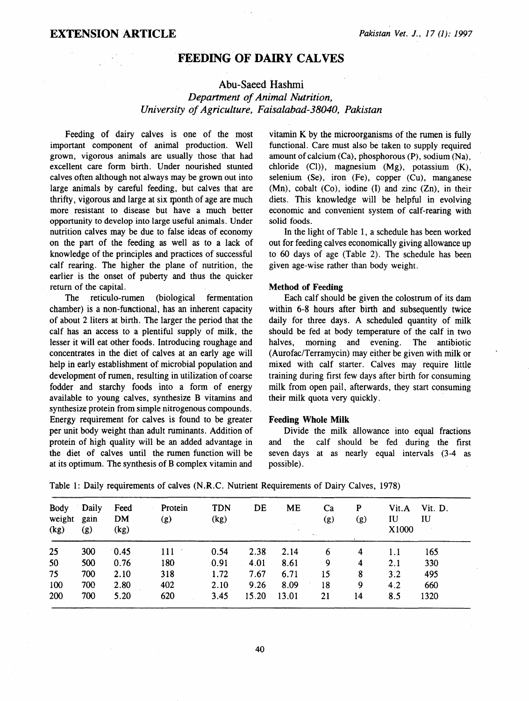## FEEDING OF DAIRY CALVES

### Abu-Saeed Hashmi

## *Department of Animal Nutrition, University of Agriculture, Faisalabad-38040, Pakistan*

Feeding of dairy calves is one of the most important component of animal production. Well grown, vigorous animals are usually those that had excellent care form birth. Under nourished stunted calves often although not always may be grown out into large animals by careful feeding, but calves that are thrifty, vigorous and large at six rponth of age are much more resistant to disease but have a much better opportunity to develop into large useful animals. Under nutrition calves may be due to false ideas of economy on the part of the feeding as well as to a lack of knowledge of the principles and practices of successful calf rearing. The higher the plane of nutrition, the earlier is the onset of puberty and thus the quicker return of the capital.

The reticulo-rumen (biological fermentation chamber) is a non-functional, has an inherent capacity of about 2 liters at birth. The larger the period that the calf has an access to a plentiful supply of milk, the lesser it will eat other foods. Introducing roughage and concentrates in the diet of calves at an early age will help in early establishment of microbial population and development of rumen, resulting in utilization of coarse fodder and starchy foods into a form of energy available to young calves, synthesize B vitamins and synthesize protein from simple nitrogenous compounds. Energy requirement for calves is found to be greater per unit body weight than adult ruminants. Addition of protein of high quality will be an added advantage in the diet of calves until the rumen function will be at its optimum. The synthesis of B complex vitamin and vitamin K by the microorganisms of the rumen is fully functional. Care must also be taken to supply required amount of calcium (Ca), phosphorous (P), sodium (Na), chloride (Cl)), magnesium (Mg), potassium (K), selenium (Se), iron (Fe), copper (Cu), manganese (Mn), cobalt (Co), iodine (I) and zinc (Zn), in their diets. This knowledge will be helpful in evolving economic and convenient system of calf-rearing with solid foods.

In the light of Table 1, a schedule has been worked out for feeding calves economically giving allowance up to 60 days of age (Table 2). The schedule has been given age-wise rather than body weight.

#### Method of Feeding

Each calf should be given the colostrum of its dam within 6-8 hours after birth and subsequently twice daily for three days. A scheduled quantity of milk should be fed at body temperature of the calf in two halves, morning and evening. The antibiotic (Aurofac/Terramycin) may either be given with milk or mixed with calf starter. Calves may require little training during first few days after birth for consuming milk from open pail, afterwards, they start consuming their milk quota very quickly.

## Feeding Whole Milk

Divide the milk allowance into equal fractions and the calf should be fed during the first seven days at as nearly equal intervals (3-4 as possible).

| <b>Body</b><br>weight<br>(kg) | Daily<br>gain<br>(g) | Feed<br><b>DM</b><br>(kg) | Protein<br>(g) | <b>TDN</b><br>(kg) | DE    | <b>ME</b> | Ca<br>(g)<br>$\sim$ | P<br>(g)                | Vit.A<br>IU<br>X1000 | Vit. D.<br>IU |
|-------------------------------|----------------------|---------------------------|----------------|--------------------|-------|-----------|---------------------|-------------------------|----------------------|---------------|
| 25                            | 300                  | 0.45                      | 111            | 0.54               | 2.38  | 2.14      | 6                   | 4                       | 1.1                  | 165           |
| 50                            | 500                  | 0.76                      | 180            | 0.91               | 4.01  | 8.61      | 9                   | $\overline{\mathbf{4}}$ | 2.1                  | 330           |
| 75                            | 700                  | 2.10                      | 318            | 1.72               | 7.67  | 6.71      | 15                  | 8                       | 3.2                  | 495           |
| 100                           | 700                  | 2.80                      | 402            | 2.10               | 9.26  | 8.09      | 18                  | 9                       | 4.2                  | 660           |
| 200                           | 700                  | 5.20                      | 620            | 3.45               | 15.20 | 13.01     | 21                  | 14                      | 8.5                  | 1320          |

Table 1: Daily requirements of calves (N .R.C. Nutrient Requirements of Dairy Calves, 1978)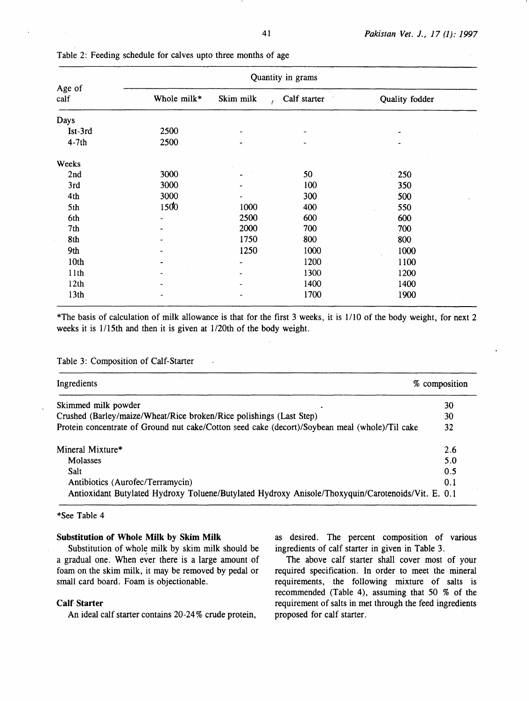|                  | Quantity in grams |                           |      |                |  |  |  |  |
|------------------|-------------------|---------------------------|------|----------------|--|--|--|--|
| Age of<br>calf   | Whole milk*       | Skim milk<br>Calf starter |      | Quality fodder |  |  |  |  |
| Days             |                   |                           |      |                |  |  |  |  |
| Ist-3rd          | 2500              |                           |      |                |  |  |  |  |
| $4-7th$          | 2500              |                           |      |                |  |  |  |  |
| Weeks            |                   |                           |      |                |  |  |  |  |
| 2nd              | 3000              |                           | 50   | 250            |  |  |  |  |
| 3rd              | 3000              |                           | 100  | 350            |  |  |  |  |
| 4th              | 3000              |                           | 300  | 500            |  |  |  |  |
| 5th              | 1500              | 1000                      | 400  | 550            |  |  |  |  |
| 6th              |                   | 2500                      | 600  | 600            |  |  |  |  |
| 7th              |                   | 2000                      | 700  | 700            |  |  |  |  |
| 8th              |                   | 1750                      | 800  | 800            |  |  |  |  |
| 9th              |                   | 1250                      | 1000 | 1000           |  |  |  |  |
| 10 <sub>th</sub> |                   |                           | 1200 | 1100           |  |  |  |  |
| 11th             |                   |                           | 1300 | 1200           |  |  |  |  |
| 12th             |                   |                           | 1400 | 1400           |  |  |  |  |
| 13 <sub>th</sub> |                   |                           | 1700 | 1900           |  |  |  |  |

Table 2: Feeding schedule for calves upto three months of age

\*The basis of calculation of milk allowance is that for the first 3 weeks, it is 1110 of the body weight, for next 2 weeks it is 1/15th and then it is given at 1/20th of the body weight.

### Table 3: Composition of Calf-Starter

| Ingredients<br>% composition                                                                      |     |
|---------------------------------------------------------------------------------------------------|-----|
| Skimmed milk powder                                                                               | 30  |
| Crushed (Barley/maize/Wheat/Rice broken/Rice polishings (Last Step)                               | 30  |
| Protein concentrate of Ground nut cake/Cotton seed cake (decort)/Soybean meal (whole)/Til cake    | 32  |
| Mineral Mixture*                                                                                  | 2.6 |
| Molasses                                                                                          | 5.0 |
| Salt                                                                                              | 0.5 |
| Antibiotics (Aurofec/Terramycin)                                                                  | 0.1 |
| Antioxidant Butylated Hydroxy Toluene/Butylated Hydroxy Anisole/Thoxyquin/Carotenoids/Vit. E. 0.1 |     |

#### \*See Table 4

#### **Substitution of Whole Milk by Skim Milk**

Substitution of whole milk by skim milk should be a gradual one. When ever there is a large amount of foam on the skim milk, it may be removed by pedal or small card board. Foam is objectionable.

### **Calf. Starter**

An ideal calf starter contains 20-24% crude protein,

as desired. The percent composition of various ingredients of calf starter in given in Table 3.

The above calf starter shall cover most of your required specification. In order to meet the mineral requirements, the following mixture of salts is recommended (Table 4), assuming that 50 % of the requirement of salts in met through the feed ingredients proposed for calf starter.